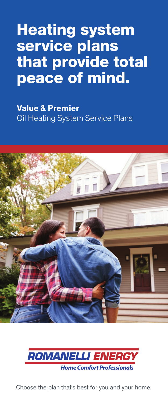# Heating system service plans that provide total peace of mind.

**Value & Premier**  Oil Heating System Service Plans





Choose the plan that's best for you and your home.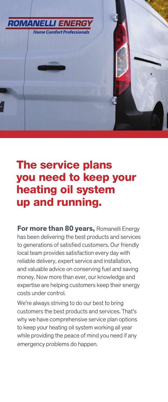

# The service plans you need to keep your heating oil system up and running.

**For more than 80 years,** Romanelli Energy has been delivering the best products and services to generations of satisfied customers. Our friendly local team provides satisfaction every day with reliable delivery, expert service and installation, and valuable advice on conserving fuel and saving money. Now more than ever, our knowledge and expertise are helping customers keep their energy costs under control.

We're always striving to do our best to bring customers the best products and services. That's why we have comprehensive service plan options to keep your heating oil system working all year while providing the peace of mind you need if any emergency problems do happen.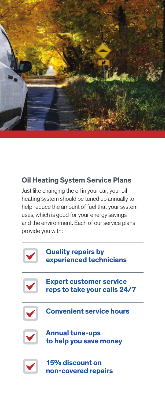

### **Oil Heating System Service Plans**

Just like changing the oil in your car, your oil heating system should be tuned up annually to help reduce the amount of fuel that your system uses, which is good for your energy savings and the environment. Each of our service plans provide you with:

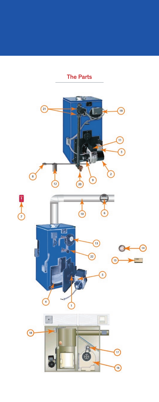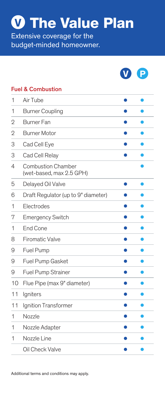The Value Plan **V**

Extensive coverage for the budget-minded homeowner.



#### Fuel & Combustion

| 1  | Air Tube                                              |  |
|----|-------------------------------------------------------|--|
| 1  | <b>Burner Coupling</b>                                |  |
| 2  | <b>Burner Fan</b>                                     |  |
| 2  | <b>Burner Motor</b>                                   |  |
| 3  | Cad Cell Eye                                          |  |
| 3  | Cad Cell Relay                                        |  |
| 4  | <b>Combustion Chamber</b><br>(wet-based, max 2.5 GPH) |  |
| 5  | Delayed Oil Valve                                     |  |
| 6  | Draft Regulator (up to 9" diameter)                   |  |
| 1  | Electrodes                                            |  |
| 7  | <b>Emergency Switch</b>                               |  |
| 1  | End Cone                                              |  |
| 8  | <b>Firomatic Valve</b>                                |  |
| 9  | Fuel Pump                                             |  |
| 9  | Fuel Pump Gasket                                      |  |
| 9  | Fuel Pump Strainer                                    |  |
| 10 | Flue Pipe (max 9" diameter)                           |  |
| 11 | Igniters                                              |  |
| 11 | Ignition Transformer                                  |  |
| 1  | Nozzle                                                |  |
| 1  | Nozzle Adapter                                        |  |
| 1  | Nozzle Line                                           |  |
|    | Oil Check Valve                                       |  |
|    |                                                       |  |

Additional terms and conditions may apply.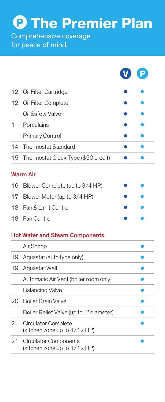The Premier Plan **P**

Comprehensive coverage for peace of mind.

| 12 Oil Filter Cartridge                |  |
|----------------------------------------|--|
| 12 Oil Filter Complete                 |  |
| Oil Safety Valve                       |  |
| Porcelains                             |  |
| <b>Primary Control</b>                 |  |
| 14 Thermostat Standard                 |  |
| 15 Thermostat Clock Type (\$50 credit) |  |
|                                        |  |

**V P**

### Warm Air

| 16 Blower Complete (up to 3/4 HP) |  |
|-----------------------------------|--|
| 17 Blower Motor (up to 3/4 HP)    |  |
| 18 Fan & Limit Control            |  |
| 18 Fan Control                    |  |

#### Hot Water and Steam Components

|     | Air Scoop                                                |  |
|-----|----------------------------------------------------------|--|
| 19  | Aquastat (auto type only)                                |  |
| 19  | Aquastat Well                                            |  |
|     | Automatic Air Vent (boiler room only)                    |  |
|     | <b>Balancing Valve</b>                                   |  |
| 20. | <b>Boiler Drain Valve</b>                                |  |
|     | Boiler Relief Valve (up to 1" diameter)                  |  |
|     | 21 Circulator Complete<br>(kitchen zone up to 1/12 HP)   |  |
|     | 21 Circulator Components<br>(kitchen zone up to 1/12 HP) |  |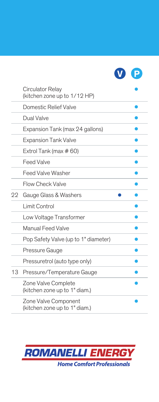

|    | Circulator Relay<br>(kitchen zone up to 1/12 HP)      |
|----|-------------------------------------------------------|
|    | Domestic Relief Valve                                 |
|    | Dual Valve                                            |
|    | Expansion Tank (max 24 gallons)                       |
|    | <b>Expansion Tank Valve</b>                           |
|    | Extrol Tank (max $#60$ )                              |
|    | <b>Feed Valve</b>                                     |
|    | <b>Feed Valve Washer</b>                              |
|    | <b>Flow Check Valve</b>                               |
| 22 | Gauge Glass & Washers                                 |
|    | Limit Control                                         |
|    | Low Voltage Transformer                               |
|    | <b>Manual Feed Valve</b>                              |
|    | Pop Safety Valve (up to 1" diameter)                  |
|    | Pressure Gauge                                        |
|    | Pressuretrol (auto type only)                         |
| 13 | Pressure/Temperature Gauge                            |
|    | Zone Valve Complete<br>(kitchen zone up to 1" diam.)  |
|    | Zone Valve Component<br>(kitchen zone up to 1" diam.) |

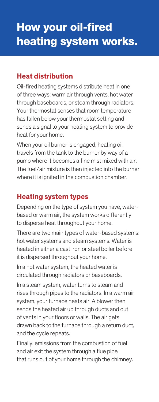### **Heat distribution**

Oil-fired heating systems distribute heat in one of three ways: warm air through vents, hot water through baseboards, or steam through radiators. Your thermostat senses that room temperature has fallen below your thermostat setting and sends a signal to your heating system to provide heat for your home.

When your oil burner is engaged, heating oil travels from the tank to the burner by way of a pump where it becomes a fine mist mixed with air. The fuel/air mixture is then injected into the burner where it is ignited in the combustion chamber.

### **Heating system types**

Depending on the type of system you have, waterbased or warm air, the system works differently to disperse heat throughout your home.

There are two main types of water-based systems: hot water systems and steam systems. Water is heated in either a cast iron or steel boiler before it is dispersed throughout your home.

In a hot water system, the heated water is circulated through radiators or baseboards.

In a steam system, water turns to steam and rises through pipes to the radiators. In a warm air system, your furnace heats air. A blower then sends the heated air up through ducts and out of vents in your floors or walls. The air gets drawn back to the furnace through a return duct, and the cycle repeats.

Finally, emissions from the combustion of fuel and air exit the system through a flue pipe that runs out of your home through the chimney.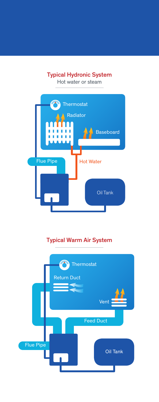### Typical Hydronic System

Hot water or steam



### Typical Warm Air System

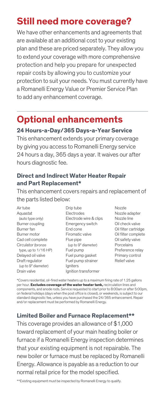## **Still need more coverage?**

We have other enhancements and agreements that are available at an additional cost to your existing plan and these are priced separately. They allow you to extend your coverage with more comprehensive protection and help you prepare for unexpected repair costs by allowing you to customize your protection to suit your needs. You must currently have a Romanelli Energy Value or Premier Service Plan to add any enhancement coverage.

### **Optional enhancements**

#### **24 Hours-a-Day/365 Days-a-Year Service**

This enhancement extends your primary coverage by giving you access to Romanelli Energy service 24 hours a day, 365 days a year. It waives our after hours diagnostic fee.

#### **Direct and Indirect Water Heater Repair and Part Replacement\***

This enhancement covers repairs and replacement of the parts listed below:

Air tube Aquastat (auto type only) Burner coupling Burner fan Burner motor Cad cell complete Circulator (bronze type, up to 1/16 HP) Delayed oil valve Draft regulator (up to 9" diameter) Drain valve

Drip tube Electrodes Electrode wire & clips Emergency switch End cone Firomatic valve Flue pipe (up to 9" diameter) Fuel pump Fuel pump gasket Fuel pump strainer Igniters Ignition transformer

Nozzle Nozzle adapter Nozzle line Oil check valve Oil filter cartridge Oil filter complete Oil safety valve Porcelains Preference relay Primary control Relief valve

\*Covers residential, oil-fired water heaters up to a maximum firing rate of 1.25 gallons per hour. **Excludes coverage of the water heater tank,** recirculation lines and components, and anode rods. Service requested to start prior to 8:00am or after 5:00pm, on federal holidays (days when the post office is closed), or weekends, is subject to our standard diagnostic fee, unless you have purchased the 24/365 enhancement. Repair and/or replacement must be performed by Romanelli Energy.

#### **Limited Boiler and Furnace Replacement\*\***

This coverage provides an allowance of \$1,000 toward replacement of your main heating boiler or furnace if a Romanelli Energy inspection determines that your existing equipment is not repairable. The new boiler or furnace must be replaced by Romanelli Energy. Allowance is payable as a reduction to our normal retail price for the model specified.

\*\*Existing equipment must be inspected by Romanelli Energy to qualify.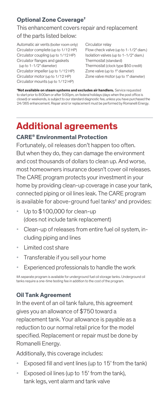### **Optional Zone Coverage†**

### This enhancement covers repair and replacement of the parts listed below:

Automatic air vents (boiler room only) Circulator complete (up to 1/12 HP) Circulator coupling (up to 1/12 HP) Circulator flanges and gaskets (up to 1-1/2" diameter)

Circulator impeller (up to 1/12 HP) Circulator motor (up to 1/12 HP) Circulator mounts (up to 1/12 HP)

Circulator relay Flow check valve (up to 1-1/2" diam.) Isolation valves (up to 1-1/2" diam.) Thermostat (standard) Thermostat (clock type \$50 credit) Zone valve (up to 1" diameter) Zone valve motor (up to 1" diameter)

**† Not available on steam systems and excludes air handlers.** Service requested to start prior to 8:00am or after 5:00pm, on federal holidays (days when the post office is closed) or weekends, is subject to our standard diagnostic fee, unless you have purchased the 24/365 enhancement. Repair and/or replacement must be performed by Romanelli Energy.

# **Additional agreements**

### **CARE® Environmental Protection**

Fortunately, oil releases don't happen too often. But when they do, they can damage the environment and cost thousands of dollars to clean up. And worse, most homeowners insurance doesn't cover oil releases. The CARE program protects your investment in your home by providing clean-up coverage in case your tank, connected piping or oil lines leak. The CARE program is available for above-ground fuel tanks‡ and provides:

- Up to \$100,000 for clean-up (does not include tank replacement)
- Clean-up of releases from entire fuel oil system, including piping and lines
- Limited cost share
- Transferable if you sell your home
- Experienced professionals to handle the work

‡A separate program is available for underground fuel oil storage tanks. Underground oil tanks require a one-time testing fee in addition to the cost of the program.

### **Oil Tank Agreement**

In the event of an oil tank failure, this agreement gives you an allowance of \$750 toward a replacement tank. Your allowance is payable as a reduction to our normal retail price for the model specified. Replacement or repair must be done by Romanelli Energy.

Additionally, this coverage includes:

- Exposed fill and vent lines (up to 15' from the tank)
- Exposed oil lines (up to 15' from the tank), tank legs, vent alarm and tank valve